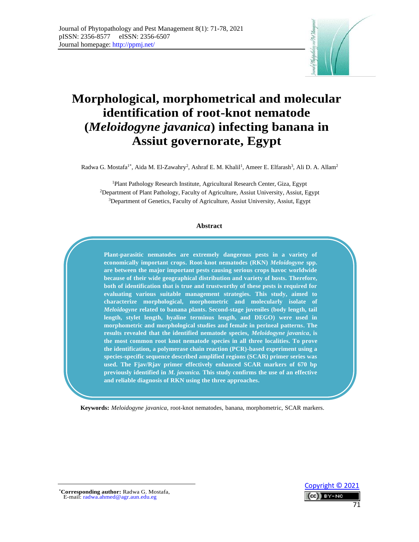

# **Morphological, morphometrical and molecular identification of root-knot nematode (***Meloidogyne javanica***) infecting banana in Assiut governorate, Egypt**

Radwa G. Mostafa<sup>1\*</sup>, Aida M. El-Zawahry<sup>2</sup>, Ashraf E. M. Khalil<sup>1</sup>, Ameer E. Elfarash<sup>3</sup>, Ali D. A. Allam<sup>2</sup>

<sup>1</sup>Plant Pathology Research Institute, Agricultural Research Center, Giza, Egypt <sup>2</sup>Department of Plant Pathology, Faculty of Agriculture, Assiut University, Assiut, Egypt <sup>3</sup>Department of Genetics, Faculty of Agriculture, Assiut University, Assiut, Egypt

#### **Abstract**

**Plant-parasitic nematodes are extremely dangerous pests in a variety of economically important crops. Root-knot nematodes (RKN)** *Meloidogyne* **spp. are between the major important pests causing serious crops havoc worldwide because of their wide geographical distribution and variety of hosts. Therefore, both of identification that is true and trustworthy of these pests is required for evaluating various suitable management strategies. This study, aimed to characterize morphological, morphometric and molecularly isolate of**  *Meloidogyne* **related to banana plants. Second-stage juveniles (body length, tail length, stylet length, hyaline terminus length, and DEGO) were used in morphometric and morphological studies and female in perineal patterns. The results revealed that the identified nematode species,** *Meloidogyne javanica***, is the most common root knot nematode species in all three localities. To prove the identification, a polymerase chain reaction (PCR)-based experiment using a species-specific sequence described amplified regions (SCAR) primer series was used. The Fjav/Rjav primer effectively enhanced SCAR markers of 670 bp previously identified in** *M. javanica.* **This study confirms the use of an effective and reliable diagnosis of RKN using the three approaches.**

**Keywords:** *Meloidogyne javanica*, root-knot nematodes, banana, morphometric, SCAR markers.

 [Copyright © 2021](http://creativecommons.org/licenses/by-nc/4.0/) RY-NC 71

<sup>∗</sup>**Corresponding author:** Radwa G. Mostafa, E-mail: radwa.ahmed@agr.aun.edu.eg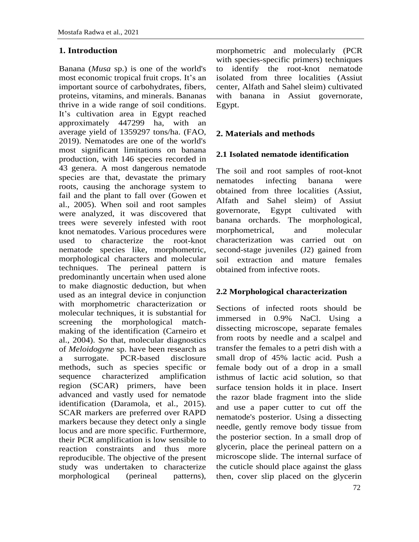## **1. Introduction**

Banana (*Musa* sp.) is one of the world's most economic tropical fruit crops. It's an important source of carbohydrates, fibers, proteins, vitamins, and minerals. Bananas thrive in a wide range of soil conditions. It's cultivation area in Egypt reached approximately 447299 ha, with an average yield of 1359297 tons/ha. (FAO, 2019). Nematodes are one of the world's most significant limitations on banana production, with 146 species recorded in 43 genera. A most dangerous nematode species are that, devastate the primary roots, causing the anchorage system to fail and the plant to fall over (Gowen et al., 2005). When soil and root samples were analyzed, it was discovered that trees were severely infested with root knot nematodes. Various procedures were used to characterize the root-knot nematode species like, morphometric, morphological characters and molecular techniques. The perineal pattern is predominantly uncertain when used alone to make diagnostic deduction, but when used as an integral device in conjunction with morphometric characterization or molecular techniques, it is substantial for screening the morphological matchmaking of the identification (Carneiro et al., 2004). So that, molecular diagnostics of *Meloidogyne* sp. have been research as a surrogate. PCR-based disclosure methods, such as species specific or sequence characterized amplification region (SCAR) primers, have been advanced and vastly used for nematode identification (Daramola, et al., 2015). SCAR markers are preferred over RAPD markers because they detect only a single locus and are more specific. Furthermore, their PCR amplification is low sensible to reaction constraints and thus more reproducible. The objective of the present study was undertaken to characterize morphological (perineal patterns), morphometric and molecularly (PCR with species-specific primers) techniques to identify the root-knot nematode isolated from three localities (Assiut center, Alfath and Sahel sleim) cultivated with banana in Assiut governorate, Egypt.

## **2. Materials and methods**

#### **2.1 Isolated nematode identification**

The soil and root samples of root-knot nematodes infecting banana were obtained from three localities (Assiut, Alfath and Sahel sleim) of Assiut governorate, Egypt cultivated with banana orchards. The morphological, morphometrical, and molecular characterization was carried out on second-stage juveniles (J2) gained from soil extraction and mature females obtained from infective roots.

## **2.2 Morphological characterization**

Sections of infected roots should be immersed in 0.9% NaCl. Using a dissecting microscope, separate females from roots by needle and a scalpel and transfer the females to a petri dish with a small drop of 45% lactic acid. Push a female body out of a drop in a small isthmus of lactic acid solution, so that surface tension holds it in place. Insert the razor blade fragment into the slide and use a paper cutter to cut off the nematode's posterior. Using a dissecting needle, gently remove body tissue from the posterior section. In a small drop of glycerin, place the perineal pattern on a microscope slide. The internal surface of the cuticle should place against the glass then, cover slip placed on the glycerin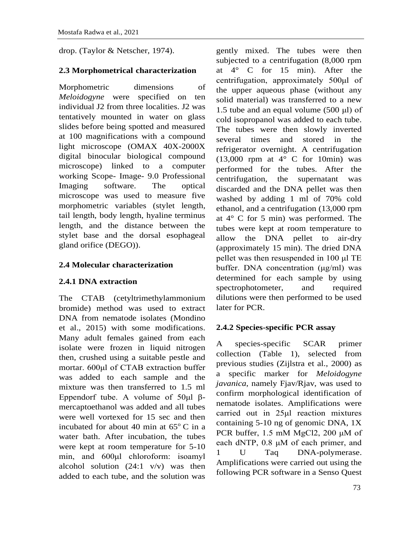drop. (Taylor & Netscher, 1974).

# **2.3 Morphometrical characterization**

Morphometric dimensions of *Meloidogyne* were specified on ten individual J2 from three localities. J2 was tentatively mounted in water on glass slides before being spotted and measured at 100 magnifications with a compound light microscope (OMAX 40X-2000X digital binocular biological compound microscope) linked to a computer working Scope- Image- 9.0 Professional Imaging software. The optical microscope was used to measure five morphometric variables (stylet length, tail length, body length, hyaline terminus length, and the distance between the stylet base and the dorsal esophageal gland orifice (DEGO)).

# **2.4 Molecular characterization**

# **2.4.1 DNA extraction**

The CTAB (cetyltrimethylammonium bromide) method was used to extract DNA from nematode isolates (Mondino et al., 2015) with some modifications. Many adult females gained from each isolate were frozen in liquid nitrogen then, crushed using a suitable pestle and mortar. 600μl of CTAB extraction buffer was added to each sample and the mixture was then transferred to 1.5 ml Eppendorf tube. A volume of 50μl βmercaptoethanol was added and all tubes were well vortexed for 15 sec and then incubated for about 40 min at  $65^{\circ}$  C in a water bath. After incubation, the tubes were kept at room temperature for 5-10 min, and 600μl chloroform: isoamyl alcohol solution  $(24:1 \text{ v/v})$  was then added to each tube, and the solution was gently mixed. The tubes were then subjected to a centrifugation (8,000 rpm at 4° C for 15 min). After the centrifugation, approximately 500μl of the upper aqueous phase (without any solid material) was transferred to a new 1.5 tube and an equal volume (500 μl) of cold isopropanol was added to each tube. The tubes were then slowly inverted several times and stored in the refrigerator overnight. A centrifugation  $(13,000$  rpm at  $4^{\circ}$  C for 10min) was performed for the tubes. After the centrifugation, the supernatant was discarded and the DNA pellet was then washed by adding 1 ml of 70% cold ethanol, and a centrifugation (13,000 rpm at 4° C for 5 min) was performed. The tubes were kept at room temperature to allow the DNA pellet to air-dry (approximately 15 min). The dried DNA pellet was then resuspended in 100 μl TE buffer. DNA concentration (μg/ml) was determined for each sample by using spectrophotometer, and required dilutions were then performed to be used later for PCR.

# **2.4.2 Species-specific PCR assay**

A species-specific SCAR primer collection (Table 1), selected from previous studies (Zijlstra et al., 2000) as a specific marker for *Meloidogyne javanica*, namely Fjav/Rjav, was used to confirm morphological identification of nematode isolates. Amplifications were carried out in 25μl reaction mixtures containing 5-10 ng of genomic DNA, 1X PCR buffer, 1.5 mM MgCl2, 200 μM of each dNTP, 0.8 μM of each primer, and 1 U Taq DNA-polymerase. Amplifications were carried out using the following PCR software in a Senso Quest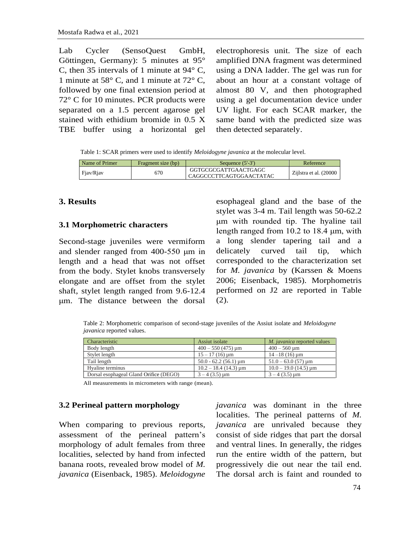| electrophoresis unit. The size of each<br>Lab Cycler (SensoQuest GmbH,                                |
|-------------------------------------------------------------------------------------------------------|
| amplified DNA fragment was determined<br>Göttingen, Germany): 5 minutes at $95^{\circ}$               |
| C, then 35 intervals of 1 minute at $94^{\circ}$ C,<br>using a DNA ladder. The gel was run for        |
| 1 minute at 58 $\degree$ C, and 1 minute at 72 $\degree$ C,<br>about an hour at a constant voltage of |
| followed by one final extension period at<br>almost 80 V, and then photographed                       |
| $72^{\circ}$ C for 10 minutes. PCR products were<br>using a gel documentation device under            |
| UV light. For each SCAR marker, the<br>separated on a 1.5 percent agarose gel                         |
| stained with ethidium bromide in 0.5 X<br>same band with the predicted size was                       |
| then detected separately.<br>TBE buffer using a horizontal gel                                        |
|                                                                                                       |

Table 1: SCAR primers were used to identify *Meloidogyne javanica* at the molecular level.

| Name of Primer | Fragment size (bp) | Sequence $(5'-3')$                              | Reference               |
|----------------|--------------------|-------------------------------------------------|-------------------------|
| Fiav/Riav      | 670                | GGTGCGCGATTGAACTGAGC<br>CAGGCCCTTCAGTGGAACTATAC | Ziilstra et al. (20000) |

#### **3. Results**

#### **3.1 Morphometric characters**

Second-stage juveniles were vermiform and slender ranged from 400-550 μm in length and a head that was not offset from the body. Stylet knobs transversely elongate and are offset from the stylet shaft, stylet length ranged from 9.6-12.4 μm. The distance between the dorsal

esophageal gland and the base of the stylet was 3-4 m. Tail length was 50-62.2 μm with rounded tip. The hyaline tail length ranged from 10.2 to 18.4 μm, with a long slender tapering tail and a delicately curved tail tip, which corresponded to the characterization set for *M. javanica* by (Karssen & Moens 2006; Eisenback, 1985). Morphometris performed on J2 are reported in Table (2).

Table 2: Morphometric comparison of second-stage juveniles of the Assiut isolate and *Meloidogyne javanica* reported values.

| Characteristic                         | Assiut isolate                         | <i>M. javanica</i> reported values |
|----------------------------------------|----------------------------------------|------------------------------------|
| Body length                            | $400 - 550(475)$ um                    | $400 - 560$ um                     |
| Stylet length                          | $15 - 17(16)$ um                       | $14 - 18(16)$ um                   |
| Tail length                            | $50.0 - 62.2(56.1) \,\mathrm{\upmu m}$ | $51.0 - 63.0(57)$ um               |
| Hyaline terminus                       | $10.2 - 18.4$ (14.3) $\mu$ m           | $10.0 - 19.0$ (14.5) $\mu$ m       |
| Dorsal esophageal Gland Orifice (DEGO) | $3 - 4$ (3.5) $\mu$ m                  | $3 - 4$ (3.5) $\mu$ m              |

All measurements in micrometers with range (mean).

#### **3.2 Perineal pattern morphology**

When comparing to previous reports, assessment of the perineal pattern's morphology of adult females from three localities, selected by hand from infected banana roots, revealed brow model of *M. javanica* (Eisenback, 1985). *Meloidogyne*

*javanica* was dominant in the three localities. The perineal patterns of *M. javanica* are unrivaled because they consist of side ridges that part the dorsal and ventral lines. In generally, the ridges run the entire width of the pattern, but progressively die out near the tail end. The dorsal arch is faint and rounded to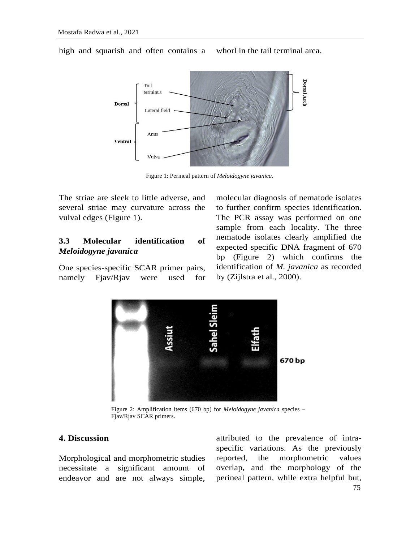

high and squarish and often contains a whorl in the tail terminal area.

Figure 1: Perineal pattern of *Meloidogyne javanica*.

The striae are sleek to little adverse, and several striae may curvature across the vulval edges (Figure 1).

## **3.3 Molecular identification of**  *Meloidogyne javanica*

One species-specific SCAR primer pairs, namely Fjav/Rjav were used for molecular diagnosis of nematode isolates to further confirm species identification. The PCR assay was performed on one sample from each locality. The three nematode isolates clearly amplified the expected specific DNA fragment of 670 bp (Figure 2) which confirms the identification of *M. javanica* as recorded by (Zijlstra et al*.*, 2000).



Figure 2: Amplification items (670 bp) for *Meloidogyne javanica* species – Fjav/Rjav SCAR primers.

## **4. Discussion**

Morphological and morphometric studies necessitate a significant amount of endeavor and are not always simple, attributed to the prevalence of intraspecific variations. As the previously reported, the morphometric values overlap, and the morphology of the perineal pattern, while extra helpful but,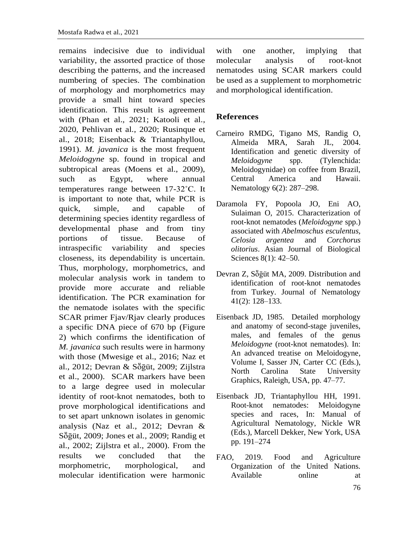remains indecisive due to individual variability, the assorted practice of those describing the patterns, and the increased numbering of species. The combination of morphology and morphometrics may provide a small hint toward species identification. This result is agreement with (Phan et al., 2021; Katooli et al., 2020, Pehlivan et al., 2020; Rusinque et al., 2018; Eisenback & Triantaphyllou, 1991). *M. javanica* is the most frequent *Meloidogyne* sp. found in tropical and subtropical areas (Moens et al., 2009), such as Egypt, where annual temperatures range between 17-32˚C. It is important to note that, while PCR is quick, simple, and capable of determining species identity regardless of developmental phase and from tiny portions of tissue. Because of intraspecific variability and species closeness, its dependability is uncertain. Thus, morphology, morphometrics, and molecular analysis work in tandem to provide more accurate and reliable identification. The PCR examination for the nematode isolates with the specific SCAR primer Fjav/Rjav clearly produces a specific DNA piece of 670 bp (Figure 2) which confirms the identification of *M. javanica* such results were in harmony with those (Mwesige et al., 2016; Naz et al., 2012; Devran & Sṏḡüt, 2009; Zijlstra et al., 2000). SCAR markers have been to a large degree used in molecular identity of root-knot nematodes, both to prove morphological identifications and to set apart unknown isolates in genomic analysis (Naz et al., 2012; Devran & S $\ddot{\sigma}$ güt, 2009; Jones et al., 2009; Randig et al., 2002; Zijlstra et al., 2000). From the results we concluded that the morphometric, morphological, and molecular identification were harmonic

with one another, implying that molecular analysis of root-knot nematodes using SCAR markers could be used as a supplement to morphometric and morphological identification.

## **References**

- Carneiro RMDG, Tigano MS, Randig O, Almeida MRA, Sarah JL, 2004. Identification and genetic diversity of *Meloidogyne* spp. (Tylenchida: Meloidogynidae) on coffee from Brazil, Central America and Hawaii. Nematology 6(2): 287–298.
- Daramola FY, Popoola JO, Eni AO, Sulaiman O, 2015. Characterization of root-knot nematodes (*Meloidogyne* spp.) associated with *Abelmoschus esculentus, Celosia argentea* and *Corchorus olitorius*. Asian Journal of Biological Sciences 8(1): 42–50.
- Devran Z, Söğüt MA, 2009. Distribution and identification of root-knot nematodes from Turkey. Journal of Nematology 41(2): 128–133.
- Eisenback JD, 1985. Detailed morphology and anatomy of second-stage juveniles, males, and females of the genus *Meloidogyne* (root-knot nematodes). In: An advanced treatise on Meloidogyne, Volume I, Sasser JN, Carter CC (Eds.), North Carolina State University Graphics, Raleigh, USA, pp. 47–77.
- Eisenback JD, Triantaphyllou HH, 1991. Root-knot nematodes: Meloidogyne species and races, In: Manual of Agricultural Nematology, Nickle WR (Eds.), Marcell Dekker, New York, USA pp. 191–274
- FAO, 2019. Food and Agriculture Organization of the United Nations. Available online at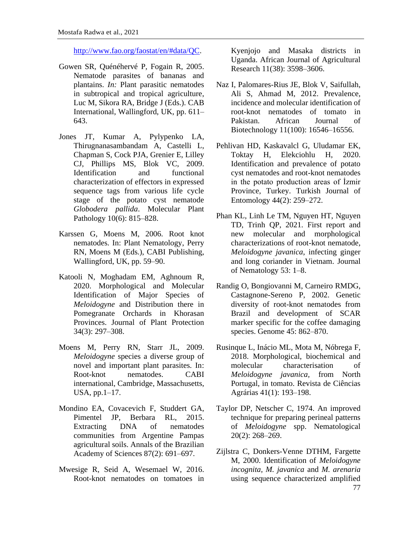[http://www.fao.org/faostat/en/#data/QC.](http://www.fao.org/faostat/en/#data/QC)

- Gowen SR, Quénéhervé P, Fogain R, 2005. Nematode parasites of bananas and plantains. *In:* Plant parasitic nematodes in subtropical and tropical agriculture, Luc M, Sikora RA, Bridge J (Eds.). CAB International, Wallingford, UK, pp. 611– 643.
- Jones JT, Kumar A, Pylypenko LA, Thirugnanasambandam A, Castelli L, Chapman S, Cock PJA, Grenier E, Lilley CJ, Phillips MS, Blok VC, 2009. Identification and functional characterization of effectors in expressed sequence tags from various life cycle stage of the potato cyst nematode *Globodera pallida*. Molecular Plant Pathology 10(6): 815–828.
- Karssen G, Moens M, 2006. Root knot nematodes. In: Plant Nematology, Perry RN, Moens M (Eds.), CABI Publishing, Wallingford, UK, pp. 59–90.
- Katooli N, Moghadam EM, Aghnoum R, 2020. Morphological and Molecular Identification of Major Species of *Meloidogyne* and Distribution there in Pomegranate Orchards in Khorasan Provinces. Journal of Plant Protection 34(3): 297–308.
- Moens M, Perry RN, Starr JL, 2009. *Meloidogyne* species a diverse group of novel and important plant parasites. In: Root-knot nematodes. CABI international, Cambridge, Massachusetts, USA, pp.1–17.
- Mondino EA, Covacevich F, Studdert GA, Pimentel JP, Berbara RL, 2015. Extracting DNA of nematodes communities from Argentine Pampas agricultural soils. Annals of the Brazilian Academy of Sciences 87(2): 691–697.
- Mwesige R, Seid A, Wesemael W, 2016. Root-knot nematodes on tomatoes in

Kyenjojo and Masaka districts in Uganda. African Journal of Agricultural Research 11(38): 3598–3606.

- Naz I, Palomares-Rius JE, Blok V, Saifullah, Ali S, Ahmad M, 2012. Prevalence, incidence and molecular identification of root-knot nematodes of tomato in Pakistan. African Journal of Biotechnology 11(100): 16546–16556.
- Pehlivan HD, Kaskavalcl G, Uludamar EK, Toktay H, Elekciohlu H, 2020. Identification and prevalence of potato cyst nematodes and root-knot nematodes in the potato production areas of İzmir Province, Turkey. Turkish Journal of Entomology 44(2): 259–272.
- Phan KL, Linh Le TM, Nguyen HT, Nguyen TD, Trinh QP, 2021. First report and new molecular and morphological characterizations of root-knot nematode, *Meloidogyne javanica*, infecting ginger and long coriander in Vietnam. Journal of Nematology 53: 1–8.
- Randig O, Bongiovanni M, Carneiro RMDG, Castagnone-Sereno P, 2002. Genetic diversity of root-knot nematodes from Brazil and development of SCAR marker specific for the coffee damaging species. Genome 45: 862–870.
- Rusinque L, Inácio ML, Mota M, Nóbrega F, 2018. Morphological, biochemical and molecular characterisation of *Meloidogyne javanica,* from North Portugal, in tomato. Revista de Ciências Agrárias 41(1): 193–198.
- Taylor DP, Netscher C, 1974. An improved technique for preparing perineal patterns of *Meloidogyne* spp. Nematological 20(2): 268–269.
- 77 Zijlstra C, Donkers-Venne DTHM, Fargette M, 2000. Identification of *Meloidogyne incognita, M. javanica* and *M. arenaria*  using sequence characterized amplified